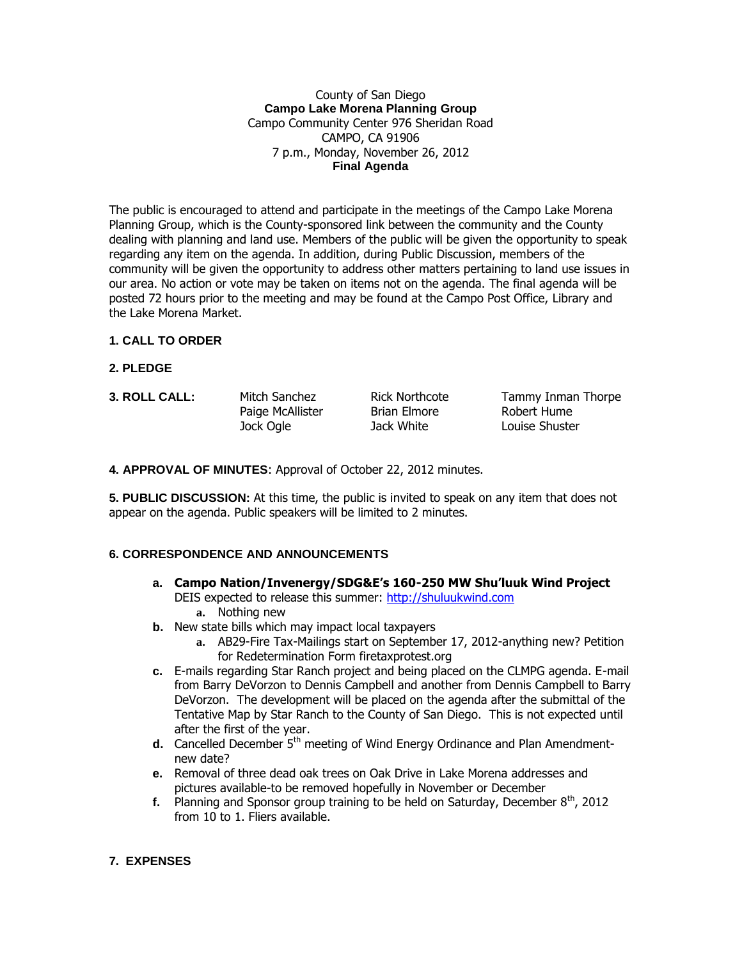#### County of San Diego **Campo Lake Morena Planning Group** Campo Community Center 976 Sheridan Road CAMPO, CA 91906 7 p.m., Monday, November 26, 2012 **Final Agenda**

The public is encouraged to attend and participate in the meetings of the Campo Lake Morena Planning Group, which is the County-sponsored link between the community and the County dealing with planning and land use. Members of the public will be given the opportunity to speak regarding any item on the agenda. In addition, during Public Discussion, members of the community will be given the opportunity to address other matters pertaining to land use issues in our area. No action or vote may be taken on items not on the agenda. The final agenda will be posted 72 hours prior to the meeting and may be found at the Campo Post Office, Library and the Lake Morena Market.

### **1. CALL TO ORDER**

- **2. PLEDGE**
- 

Paige McAllister Brian Elmore Robert Hume Jock Ogle Jack White Louise Shuster

**3. ROLL CALL:** Mitch Sanchez Rick Northcote Tammy Inman Thorpe

**4. APPROVAL OF MINUTES**: Approval of October 22, 2012 minutes.

**5. PUBLIC DISCUSSION:** At this time, the public is invited to speak on any item that does not appear on the agenda. Public speakers will be limited to 2 minutes.

### **6. CORRESPONDENCE AND ANNOUNCEMENTS**

- **a. Campo Nation/Invenergy/SDG&E's 160-250 MW Shu'luuk Wind Project** DEIS expected to release this summer: [http://shuluukwind.com](http://shuluukwind.com/)
	- **a.** Nothing new
- **b.** New state bills which may impact local taxpayers
	- **a.** AB29-Fire Tax-Mailings start on September 17, 2012-anything new? Petition for Redetermination Form firetaxprotest.org
- **c.** E-mails regarding Star Ranch project and being placed on the CLMPG agenda. E-mail from Barry DeVorzon to Dennis Campbell and another from Dennis Campbell to Barry DeVorzon. The development will be placed on the agenda after the submittal of the Tentative Map by Star Ranch to the County of San Diego. This is not expected until after the first of the year.
- **d.** Cancelled December 5<sup>th</sup> meeting of Wind Energy Ordinance and Plan Amendmentnew date?
- **e.** Removal of three dead oak trees on Oak Drive in Lake Morena addresses and pictures available-to be removed hopefully in November or December
- **f.** Planning and Sponsor group training to be held on Saturday, December 8<sup>th</sup>, 2012 from 10 to 1. Fliers available.

### **7. EXPENSES**